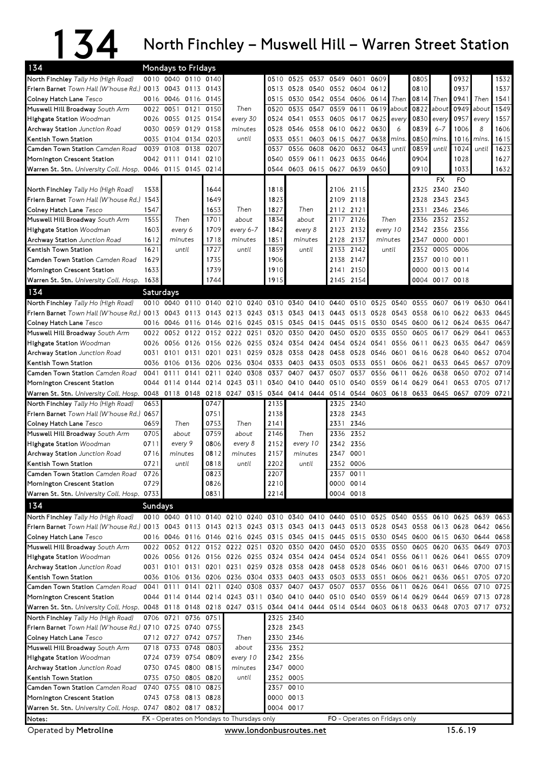## 134 North Finchley – Muswell Hill – Warren Street Station

| 134                                                                                                                              |           | Mondays to Fridays  |                |                                              |                  |                |                          |           |                |                                                                                           |           |         |                                    |           |                      |                |           |      |
|----------------------------------------------------------------------------------------------------------------------------------|-----------|---------------------|----------------|----------------------------------------------|------------------|----------------|--------------------------|-----------|----------------|-------------------------------------------------------------------------------------------|-----------|---------|------------------------------------|-----------|----------------------|----------------|-----------|------|
| North Finchley Tally Ho (High Road)                                                                                              |           | 0010 0040 0110 0140 |                |                                              |                  |                | 0510                     |           | 0525 0537      | 0549 0601                                                                                 |           | 0609    |                                    | 0805      |                      | 0932           |           | 1532 |
| Friern Barnet Town Hall (W'house Rd.) 0013 0043 0113 0143                                                                        |           |                     |                |                                              |                  |                |                          |           | 0513 0528 0540 | 0552 0604                                                                                 |           | 0612    |                                    | 0810      |                      | 0937           |           | 1537 |
| Colney Hatch Lane Tesco                                                                                                          |           | 0016 0046 0116      |                | 0145                                         |                  |                |                          |           |                | 0515 0530 0542 0554 0606 0614                                                             |           |         | Then                               | 0814      | Then                 | 0941           | Then      | 1541 |
| Muswell Hill Broadway South Arm                                                                                                  | 0022      | 0051 0121           |                | 0150                                         | Then             |                | 0520                     | 0535      | 0547           | 0559                                                                                      | 0611      | 0619    | about                              | 0822      | about                | 0949           | about     | 1549 |
| Highgate Station Woodman                                                                                                         |           | 0026 0055 0125 0154 |                |                                              | every 30         |                | 0524                     |           | 0541 0553      | 0605 0617 0625                                                                            |           |         | every                              | 0830      | every                | 0957 every     |           | 1557 |
| Archway Station Junction Road                                                                                                    |           | 0030 0059 0129      |                | 0158                                         | minutes          |                | 0528                     |           | 0546 0558      | 0610 0622 0630                                                                            |           |         | 6                                  | 0839      | $6 - 7$              | 1006           | 8         | 1606 |
| Kentish Town Station                                                                                                             |           | 0035 0104 0134 0203 |                |                                              | until            |                | 0533                     | 0551      |                | 0603 0615 0627                                                                            |           | 0638    | mins.                              | 0850      | mins                 | 1016 mins      |           | 1615 |
| Camden Town Station Camden Road                                                                                                  | 0039      | 0108 0138           |                | 0207                                         |                  |                | 0537                     |           | 0556 0608      | 0620                                                                                      | 0632 0643 |         | until                              | 0859      | until                | 1024           | until     | 1623 |
| Mornington Crescent Station                                                                                                      |           | 0042 0111 0141 0210 |                |                                              |                  |                | 0540                     |           | 0559 0611      | 0623 0635 0646                                                                            |           |         |                                    | 0904      |                      | 1028           |           | 1627 |
| Warren St. Stn. University Coll. Hosp. 0046 0115 0145 0214                                                                       |           |                     |                |                                              |                  |                | 0544                     |           |                | 0603 0615 0627 0639 0650                                                                  |           |         |                                    | 0910      |                      | 1033<br>FO.    |           | 1632 |
| North Finchley Tally Ho (High Road)                                                                                              | 1538      |                     |                | 1644                                         |                  |                | 1818                     |           |                |                                                                                           | 2106 2115 |         |                                    |           | FX<br>2325 2340 2340 |                |           |      |
| <b>Friern Barnet</b> Town Hall (W'house Rd.)                                                                                     | 1543      |                     |                | 1649                                         |                  |                | 1823                     |           |                |                                                                                           | 2109 2118 |         |                                    | 2328      |                      | 2343 2343      |           |      |
| Colney Hatch Lane Tesco                                                                                                          | 1547      |                     |                | 1653                                         | Then             |                | 1827                     | Then      |                | 2112 2121                                                                                 |           |         |                                    | 2331      |                      | 2346 2346      |           |      |
| Muswell Hill Broadway South Arm                                                                                                  | 1555      | Then                |                | 1701                                         | about            |                | 1834                     |           | about          |                                                                                           | 2117 2126 |         | Then                               | 2336      |                      | 2352 2352      |           |      |
| Highgate Station Woodman                                                                                                         | 1603      | every 6             |                | 1709                                         | every 6-7        |                | 1842                     |           | every 8        | 2123 2132                                                                                 |           |         | every 10                           |           | 2342 2356 2356       |                |           |      |
| Archway Station Junction Road                                                                                                    | 1612      | minutes             |                | 1718                                         | minutes          |                | 1851                     | minutes   |                | 2128 2137                                                                                 |           | minutes |                                    | 2347      | 0000 0001            |                |           |      |
| Kentish Town Station                                                                                                             | 1621      | until               |                | 1727                                         | until            |                | 1859                     |           | until          | 2133                                                                                      | 2142      |         | until                              | 2352      | 0005 0006            |                |           |      |
| Camden Town Station Camden Road                                                                                                  | 1629      |                     |                | 1735                                         |                  |                | 1906                     |           |                | 2138                                                                                      | 2147      |         |                                    | 2357      | 0010 0011            |                |           |      |
| Mornington Crescent Station                                                                                                      | 1633      |                     |                | 1739                                         |                  |                |                          |           |                | 2141                                                                                      | 2150      |         |                                    | 0000      |                      | 0013 0014      |           |      |
| Warren St. Stn. University Coll. Hosp.                                                                                           | 1638      |                     |                | 1744                                         |                  |                | 1915                     |           |                | 2145 2154                                                                                 |           |         |                                    |           | 0004 0017 0018       |                |           |      |
| 134                                                                                                                              | Saturdays |                     |                |                                              |                  |                |                          |           |                |                                                                                           |           |         |                                    |           |                      |                |           |      |
| North Finchley Tally Ho (High Road)                                                                                              |           | 0010 0040 0110 0140 |                |                                              |                  |                |                          |           |                | 0210 0240 0310 0340 0410 0440 0510 0525 0540                                              |           |         |                                    | 0555      | 0607                 | 0619           | 0630      | 0641 |
| <b>Friern Barnet</b> Town Hall (W'house Rd.) 0013                                                                                |           |                     |                |                                              |                  |                |                          |           |                | 0043 0113 0143 0213 0243 0313 0343 0413 0443 0513 0528                                    |           |         | 0543 0558                          |           |                      | 0610 0622 0633 |           | 0645 |
| Colney Hatch Lane Tesco                                                                                                          |           |                     |                |                                              |                  |                |                          |           |                | 0016 0046 0116 0146 0216 0245 0315 0345 0415 0445 0515 0530 0545 0600                     |           |         |                                    |           |                      | 0612 0624 0635 |           | 0647 |
| Muswell Hill Broadway South Arm                                                                                                  | 0022      |                     |                | 0052 0122 0152 0222 0251                     |                  |                | 0320                     |           | 0350 0420      | 0450 0520                                                                                 |           | 0535    | 0550                               | 0605      | 0617                 | 0629           | 0641      | 0653 |
| Highgate Station Woodman                                                                                                         | 0026      |                     | 0056 0126      | 0156                                         | 0226 0255        |                | 0324                     | 0354 0424 |                | 0454 0524                                                                                 |           | 0541    | 0556                               | 0611      |                      | 0623 0635      | 0647      | 0659 |
| Archway Station Junction Road                                                                                                    | 0031      |                     | 0101 0131 0201 |                                              |                  | 0231 0259 0328 |                          | 0358 0428 |                |                                                                                           |           |         | 0458 0528 0546 0601 0616 0628 0640 |           |                      |                | 0652      | 0704 |
| Kentish Town Station                                                                                                             |           | 0036 0106           | 0136           | 0206                                         | 0236 0304        |                | 0333                     |           | 0403 0433      | 0503 0533                                                                                 |           | 0551    | 0606                               | 0621      |                      | 0633 0645      | 0657      | 0709 |
| Camden Town Station Camden Road                                                                                                  | 0041      | 0111                | 0141           | 0211                                         | 0240             | 0308           | 0337                     | 0407      | 0437           | 0507                                                                                      | 0537      | 0556    | 0611                               | 0626      | 0638                 | 0650           | 0702      | 0714 |
| Mornington Crescent Station                                                                                                      |           |                     |                | 0044 0114 0144 0214 0243 0311                |                  |                | 0340 0410 0440           |           |                |                                                                                           |           |         | 0510 0540 0559 0614 0629           |           | 0641                 | 0653           | 0705      | 0717 |
| Warren St. Stn. University Coll. Hosp. 0048 0118 0148 0218 0247 0315 0344 0414 0444 0514 0544 0603 0618 0633 0645 0657 0709 0721 |           |                     |                |                                              |                  |                |                          |           |                |                                                                                           |           |         |                                    |           |                      |                |           |      |
| North Finchley Tally Ho (High Road)                                                                                              | 0653      |                     |                | 0747                                         |                  |                | 2135                     |           |                |                                                                                           | 2325 2340 |         |                                    |           |                      |                |           |      |
| <b>Friern Barnet</b> Town Hall (W'house Rd.) 0657                                                                                | 0659      |                     | Then           | 0751<br>0753                                 | Then             |                | 2138<br>2141             |           |                | 2328 2343<br>2331 2346                                                                    |           |         |                                    |           |                      |                |           |      |
| Colney Hatch Lane Tesco<br>Muswell Hill Broadway South Arm                                                                       | 0705      |                     | about          | 0759                                         | about            |                | 2146                     |           | Then           | 2336                                                                                      | 2352      |         |                                    |           |                      |                |           |      |
| Highgate Station Woodman                                                                                                         | 0711      |                     | every 9        | 0806                                         | every 8          |                | 2152                     | every 10  |                | 2342 2356                                                                                 |           |         |                                    |           |                      |                |           |      |
| Archway Station Junction Road                                                                                                    | 0716      | minutes             |                | 0812                                         | minutes          |                | 2157                     | minutes   |                | 2347 0001                                                                                 |           |         |                                    |           |                      |                |           |      |
| Kentish Town Station                                                                                                             | 0721      |                     | until          | 0818                                         | until            |                | 2202                     |           | until          | 2352 0006                                                                                 |           |         |                                    |           |                      |                |           |      |
| Camden Town Station Camden Road                                                                                                  | 0726      |                     |                | 0823                                         |                  |                | 2207                     |           |                | 2357 0011                                                                                 |           |         |                                    |           |                      |                |           |      |
| Mornington Crescent Station                                                                                                      | 0729      |                     |                | 0826                                         |                  |                |                          |           |                |                                                                                           |           |         |                                    |           |                      |                |           |      |
| Warren St. Stn. University Coll. Hosp.                                                                                           | 0733      |                     |                |                                              |                  |                | 2210                     |           |                | 0000 0014                                                                                 |           |         |                                    |           |                      |                |           |      |
| 134                                                                                                                              |           |                     |                | 0831                                         |                  |                | 2214                     |           |                | 0004 0018                                                                                 |           |         |                                    |           |                      |                |           |      |
|                                                                                                                                  |           |                     |                |                                              |                  |                |                          |           |                |                                                                                           |           |         |                                    |           |                      |                |           |      |
| North Finchley Tally Ho (High Road)                                                                                              | Sundays   |                     |                |                                              |                  |                |                          |           |                | 0010 0040 0110 0140 0210 0240 0310 0340 0410 0440 0510 0525 0540 0555                     |           |         |                                    |           |                      | 0610 0625 0639 |           | 0653 |
| Friern Barnet Town Hall (W'house Rd.) 0013 0043 0113 0143 0213 0243 0313 0343 0413 0443 0513 0528 0543 0558 0613 0628            |           |                     |                |                                              |                  |                |                          |           |                |                                                                                           |           |         |                                    |           |                      |                | 0642      | 0656 |
| Colney Hatch Lane Tesco                                                                                                          |           |                     |                |                                              |                  |                |                          |           |                | 0016 0046 0116 0146 0216 0245 0315 0345 0415 0445 0515 0530 0545 0600 0615 0630           |           |         |                                    |           |                      |                | 0644      | 0658 |
| Muswell Hill Broadway South Arm                                                                                                  |           |                     |                |                                              |                  |                |                          |           |                | 0022 0052 0122 0152 0222 0251 0320 0350 0420 0450 0520 0535 0550 0605 0620 0635 0649      |           |         |                                    |           |                      |                |           | 0703 |
| Highgate Station Woodman                                                                                                         |           |                     |                |                                              |                  |                |                          |           |                | 0026 0056 0126 0156 0226 0255 0324 0354 0424 0454 0524 0541                               |           |         |                                    | 0556 0611 |                      | 0626 0641      | 0655 0709 |      |
| Archway Station Junction Road                                                                                                    |           | 0031 0101 0131 0201 |                |                                              |                  |                | 0231 0259 0328 0358 0428 |           |                | 0458 0528 0546 0601 0616 0631 0646                                                        |           |         |                                    |           |                      |                | 0700 0715 |      |
| Kentish Town Station                                                                                                             |           |                     |                | 0036 0106 0136 0206 0236 0304 0333 0403 0433 |                  |                |                          |           |                |                                                                                           |           |         | 0503 0533 0551 0606 0621           |           |                      | 0636 0651      | 0705 0720 |      |
| Camden Town Station Camden Road                                                                                                  |           | 0041 0111 0141 0211 |                |                                              |                  |                | 0240 0308 0337 0407 0437 |           |                | 0507 0537                                                                                 |           |         | 0556 0611                          | 0626      | 0641                 | 0656           | 0710      | 0725 |
| Mornington Crescent Station                                                                                                      |           |                     |                |                                              |                  |                |                          |           |                | 0044 0114 0144 0214 0243 0311 0340 0410 0440 0510 0540 0559 0614 0629 0644 0659 0713 0728 |           |         |                                    |           |                      |                |           |      |
| Warren St. Stn. University Coll. Hosp. 0048 0118 0148 0218 0247 0315 0344 0414 0444 0514 0544 0603 0618 0633 0648 0703 0717 0732 |           |                     |                |                                              |                  |                |                          |           |                |                                                                                           |           |         |                                    |           |                      |                |           |      |
| North Finchley Tally Ho (High Road)                                                                                              |           | 0706 0721 0736 0751 |                |                                              |                  |                | 2325 2340                |           |                |                                                                                           |           |         |                                    |           |                      |                |           |      |
| Friern Barnet Town Hall (W'house Rd.) 0710 0725 0740 0755                                                                        |           |                     |                |                                              |                  |                | 2328 2343                |           |                |                                                                                           |           |         |                                    |           |                      |                |           |      |
| Colney Hatch Lane Tesco                                                                                                          |           | 0712 0727 0742 0757 |                |                                              | Then             |                | 2330 2346                |           |                |                                                                                           |           |         |                                    |           |                      |                |           |      |
| Muswell Hill Broadway South Arm                                                                                                  |           | 0718 0733 0748 0803 |                |                                              | about            |                | 2336 2352                |           |                |                                                                                           |           |         |                                    |           |                      |                |           |      |
| Highgate Station Woodman                                                                                                         |           | 0724 0739 0754 0809 |                |                                              | every 10         |                | 2342 2356                |           |                |                                                                                           |           |         |                                    |           |                      |                |           |      |
| Archway Station Junction Road<br>Kentish Town Station                                                                            |           | 0730 0745 0800 0815 |                |                                              | minutes<br>until |                | 2347 0000                |           |                |                                                                                           |           |         |                                    |           |                      |                |           |      |
| Camden Town Station Camden Road                                                                                                  | 0740      | 0735 0750 0805 0820 | 0755 0810 0825 |                                              |                  |                | 2352 0005                |           |                |                                                                                           |           |         |                                    |           |                      |                |           |      |
| Mornington Crescent Station                                                                                                      |           | 0743 0758 0813 0828 |                |                                              |                  |                | 2357 0010<br>0000 0013   |           |                |                                                                                           |           |         |                                    |           |                      |                |           |      |
| Warren St. Stn. University Coll. Hosp. 0747 0802 0817 0832                                                                       |           |                     |                |                                              |                  |                | 0004 0017                |           |                |                                                                                           |           |         |                                    |           |                      |                |           |      |

Operated by Metroline **Exercise 2018** With the www.londonbusroutes.net 15.6.19